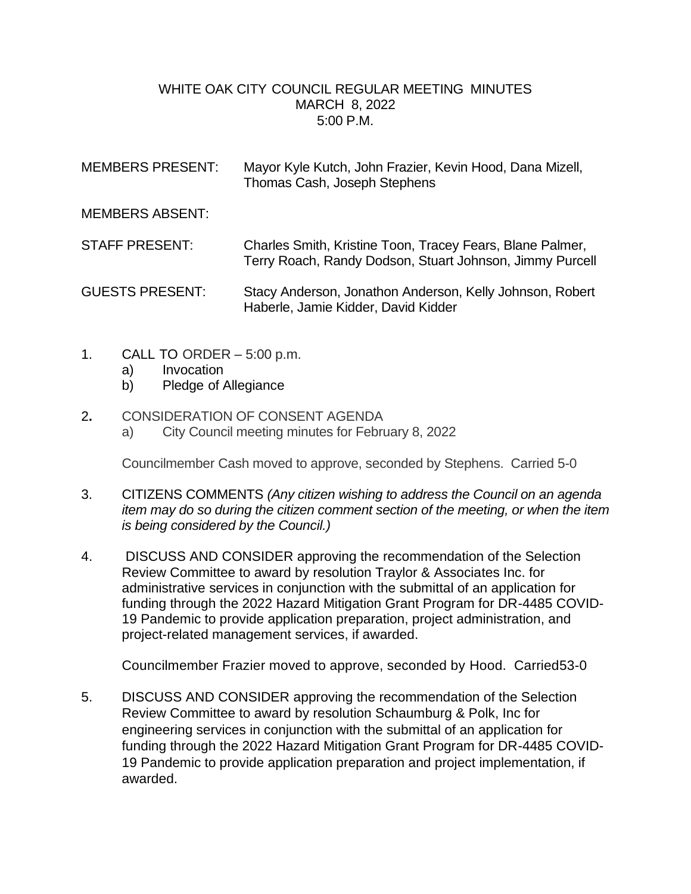## WHITE OAK CITY COUNCIL REGULAR MEETING MINUTES MARCH 8, 2022 5:00 P.M.

| <b>MEMBERS PRESENT:</b> | Mayor Kyle Kutch, John Frazier, Kevin Hood, Dana Mizell,<br>Thomas Cash, Joseph Stephens                              |
|-------------------------|-----------------------------------------------------------------------------------------------------------------------|
| <b>MEMBERS ABSENT:</b>  |                                                                                                                       |
| <b>STAFF PRESENT:</b>   | Charles Smith, Kristine Toon, Tracey Fears, Blane Palmer,<br>Terry Roach, Randy Dodson, Stuart Johnson, Jimmy Purcell |
| <b>GUESTS PRESENT:</b>  | Stacy Anderson, Jonathon Anderson, Kelly Johnson, Robert<br>Haberle, Jamie Kidder, David Kidder                       |

- 1. CALL TO ORDER 5:00 p.m.
	- a) Invocation
	- b) Pledge of Allegiance
- 2**.** CONSIDERATION OF CONSENT AGENDA
	- a) City Council meeting minutes for February 8, 2022

Councilmember Cash moved to approve, seconded by Stephens. Carried 5-0

- 3. CITIZENS COMMENTS *(Any citizen wishing to address the Council on an agenda item may do so during the citizen comment section of the meeting, or when the item is being considered by the Council.)*
- 4. DISCUSS AND CONSIDER approving the recommendation of the Selection Review Committee to award by resolution Traylor & Associates Inc. for administrative services in conjunction with the submittal of an application for funding through the 2022 Hazard Mitigation Grant Program for DR-4485 COVID-19 Pandemic to provide application preparation, project administration, and project-related management services, if awarded.

Councilmember Frazier moved to approve, seconded by Hood. Carried53-0

5. DISCUSS AND CONSIDER approving the recommendation of the Selection Review Committee to award by resolution Schaumburg & Polk, Inc for engineering services in conjunction with the submittal of an application for funding through the 2022 Hazard Mitigation Grant Program for DR-4485 COVID-19 Pandemic to provide application preparation and project implementation, if awarded.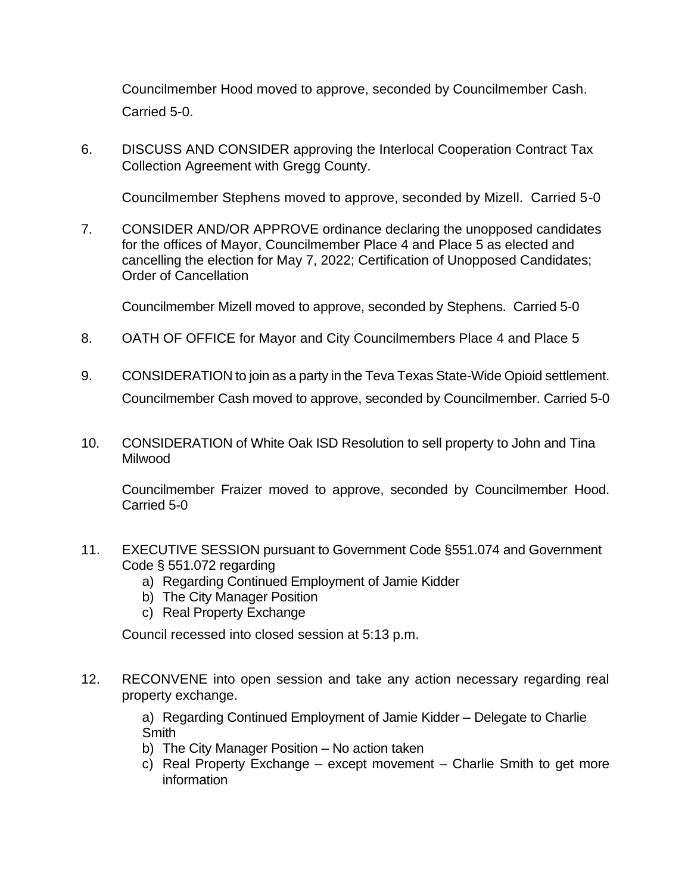Councilmember Hood moved to approve, seconded by Councilmember Cash. Carried 5-0.

6. DISCUSS AND CONSIDER approving the Interlocal Cooperation Contract Tax Collection Agreement with Gregg County.

Councilmember Stephens moved to approve, seconded by Mizell. Carried 5-0

7. CONSIDER AND/OR APPROVE ordinance declaring the unopposed candidates for the offices of Mayor, Councilmember Place 4 and Place 5 as elected and cancelling the election for May 7, 2022; Certification of Unopposed Candidates; Order of Cancellation

Councilmember Mizell moved to approve, seconded by Stephens. Carried 5-0

- 8. OATH OF OFFICE for Mayor and City Councilmembers Place 4 and Place 5
- 9. CONSIDERATION to join as a party in the Teva Texas State-Wide Opioid settlement. Councilmember Cash moved to approve, seconded by Councilmember. Carried 5-0
- 10. CONSIDERATION of White Oak ISD Resolution to sell property to John and Tina Milwood

Councilmember Fraizer moved to approve, seconded by Councilmember Hood. Carried 5-0

- 11. EXECUTIVE SESSION pursuant to Government Code §551.074 and Government Code § 551.072 regarding
	- a) Regarding Continued Employment of Jamie Kidder
	- b) The City Manager Position
	- c) Real Property Exchange

Council recessed into closed session at 5:13 p.m.

12. RECONVENE into open session and take any action necessary regarding real property exchange.

> a) Regarding Continued Employment of Jamie Kidder – Delegate to Charlie **Smith**

- b) The City Manager Position No action taken
- c) Real Property Exchange except movement Charlie Smith to get more information